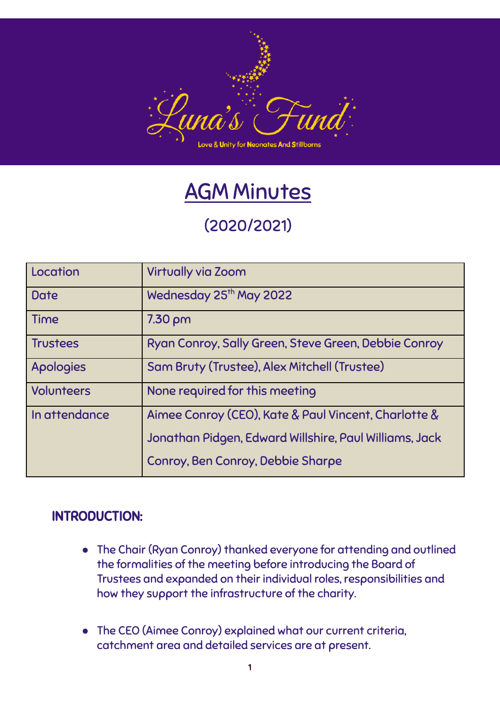

# AGM Minutes

# (2020/2021)

| Location          | <b>Virtually via Zoom</b>                              |
|-------------------|--------------------------------------------------------|
| <b>Date</b>       | Wednesday 25 <sup>th</sup> May 2022                    |
| <b>Time</b>       | $7.30 \text{ pm}$                                      |
| <b>Trustees</b>   | Ryan Conroy, Sally Green, Steve Green, Debbie Conroy   |
| Apologies         | Sam Bruty (Trustee), Alex Mitchell (Trustee)           |
| <b>Volunteers</b> | None required for this meeting                         |
| In attendance     | Aimee Conroy (CEO), Kate & Paul Vincent, Charlotte &   |
|                   | Jonathan Pidgen, Edward Willshire, Paul Williams, Jack |
|                   | Conroy, Ben Conroy, Debbie Sharpe                      |

#### INTRODUCTION:

- The Chair (Ryan Conroy) thanked everyone for attending and outlined the formalities of the meeting before introducing the Board of Trustees and expanded on their individual roles, responsibilities and how they support the infrastructure of the charity.
- The CEO (Aimee Conroy) explained what our current criteria, catchment area and detailed services are at present.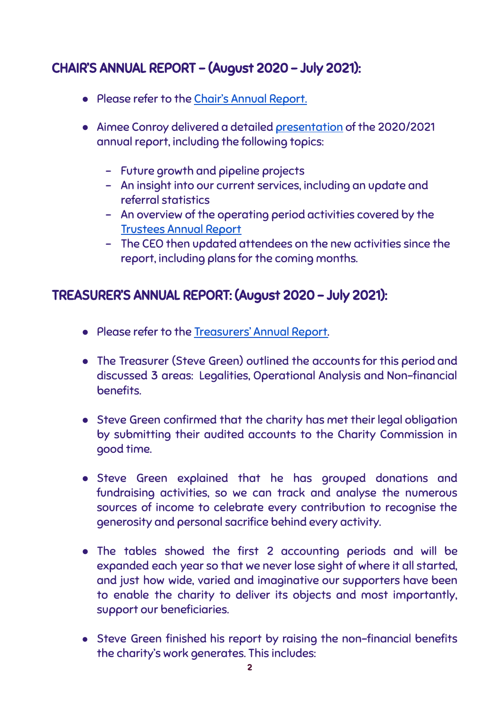## CHAIR'S ANNUAL REPORT – (August 2020 – July 2021):

- Please refer to the Chair's Annual [Report.](https://www.lunasfund.com/_files/ugd/0a3c96_7965fb76a1ee4d51830ddeeaf2ab4d60.pdf)
- Aimee Conroy delivered a detailed [presentation](https://www.lunasfund.com/_files/ugd/0a3c96_b1a8d232035d47b580bc4fdf4bbc2029.pdf) of the 2020/2021 annual report, including the following topics:
	- Future growth and pipeline projects
	- An insight into our current services, including an update and referral statistics
	- An overview of the operating period activities covered by the [Trustees](https://docs.google.com/document/u/0/d/1lPSn1uu1DUjdYZ3-tSAVrHuJG6gSjI5xcDnm5bbRRko/edit) Annual Report
	- The CEO then updated attendees on the new activities since the report, including plans for the coming months.

#### TREASURER'S ANNUAL REPORT: (August 2020 – July 2021):

- Please refer to the [Treasurers'](https://www.lunasfund.com/_files/ugd/0a3c96_d3c1076398434df5bf67051872c138c7.pdf) Annual Report.
- The Treasurer (Steve Green) outlined the accounts for this period and discussed 3 areas: Legalities, Operational Analysis and Non-financial benefits.
- Steve Green confirmed that the charity has met their legal obligation by submitting their audited accounts to the Charity Commission in good time.
- Steve Green explained that he has grouped donations and fundraising activities, so we can track and analyse the numerous sources of income to celebrate every contribution to recognise the generosity and personal sacrifice behind every activity.
- The tables showed the first 2 accounting periods and will be expanded each year so that we never lose sight of where it all started, and just how wide, varied and imaginative our supporters have been to enable the charity to deliver its objects and most importantly, support our beneficiaries.
- Steve Green finished his report by raising the non-financial benefits the charity's work generates. This includes: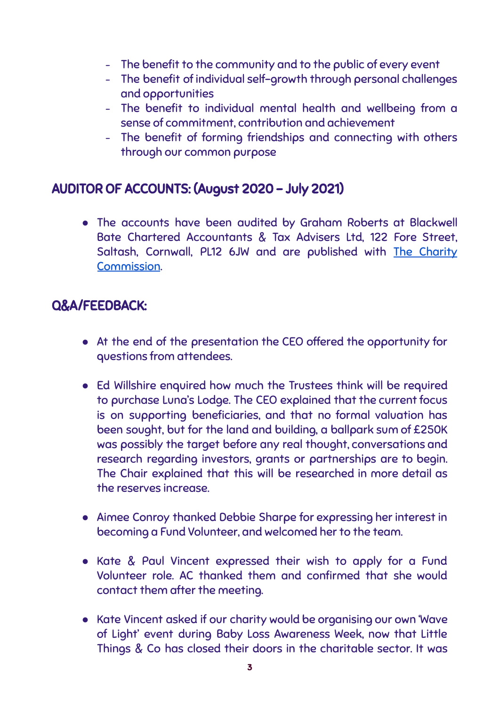- The benefit to the community and to the public of every event
- The benefit of individual self-growth through personal challenges and opportunities
- The benefit to individual mental health and wellbeing from a sense of commitment, contribution and achievement
- The benefit of forming friendships and connecting with others through our common purpose

#### AUDITOR OF ACCOUNTS: (August 2020 – July 2021)

● The accounts have been audited by Graham Roberts at Blackwell Bate Chartered Accountants & Tax Advisers Ltd, 122 Fore Street, Saltash, Cornwall, PL12 6JW and are published with The [Charity](https://register-of-charities.charitycommission.gov.uk/charity-search/-/charity-details/5135638) [Commission](https://register-of-charities.charitycommission.gov.uk/charity-search/-/charity-details/5135638).

### Q&A/FEEDBACK:

- At the end of the presentation the CEO offered the opportunity for questions from attendees.
- Ed Willshire enquired how much the Trustees think will be required to purchase Luna's Lodge. The CEO explained that the current focus is on supporting beneficiaries, and that no formal valuation has been sought, but for the land and building, a ballpark sum of £250K was possibly the target before any real thought, conversations and research regarding investors, grants or partnerships are to begin. The Chair explained that this will be researched in more detail as the reserves increase.
- Aimee Conroy thanked Debbie Sharpe for expressing her interest in becoming a Fund Volunteer, and welcomed her to the team.
- Kate & Paul Vincent expressed their wish to apply for a Fund Volunteer role. AC thanked them and confirmed that she would contact them after the meeting.
- Kate Vincent asked if our charity would be organising our own 'Wave of Light' event during Baby Loss Awareness Week, now that Little Things & Co has closed their doors in the charitable sector. It was